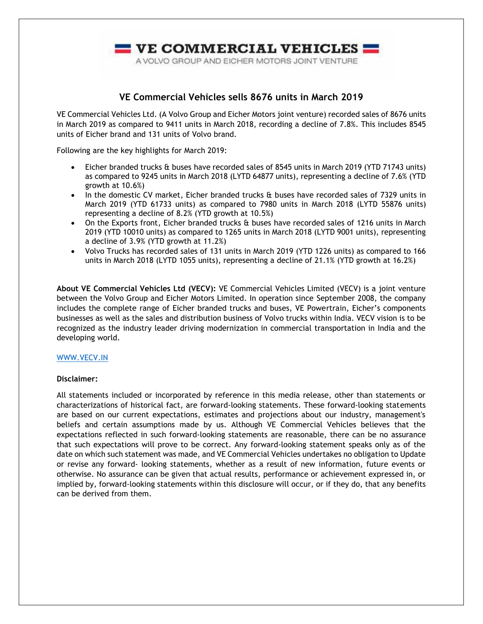

## **VE Commercial Vehicles sells 8676 units in March 2019**

VE Commercial Vehicles Ltd. (A Volvo Group and Eicher Motors joint venture) recorded sales of 8676 units in March 2019 as compared to 9411 units in March 2018, recording a decline of 7.8%. This includes 8545 units of Eicher brand and 131 units of Volvo brand.

Following are the key highlights for March 2019:

- Eicher branded trucks & buses have recorded sales of 8545 units in March 2019 (YTD 71743 units) as compared to 9245 units in March 2018 (LYTD 64877 units), representing a decline of 7.6% (YTD growth at 10.6%)
- In the domestic CV market, Eicher branded trucks & buses have recorded sales of 7329 units in March 2019 (YTD 61733 units) as compared to 7980 units in March 2018 (LYTD 55876 units) representing a decline of 8.2% (YTD growth at 10.5%)
- On the Exports front, Eicher branded trucks & buses have recorded sales of 1216 units in March 2019 (YTD 10010 units) as compared to 1265 units in March 2018 (LYTD 9001 units), representing a decline of 3.9% (YTD growth at 11.2%)
- Volvo Trucks has recorded sales of 131 units in March 2019 (YTD 1226 units) as compared to 166 units in March 2018 (LYTD 1055 units), representing a decline of 21.1% (YTD growth at 16.2%)

**About VE Commercial Vehicles Ltd (VECV):** VE Commercial Vehicles Limited (VECV) is a joint venture between the Volvo Group and Eicher Motors Limited. In operation since September 2008, the company includes the complete range of Eicher branded trucks and buses, VE Powertrain, Eicher's components businesses as well as the sales and distribution business of Volvo trucks within India. VECV vision is to be recognized as the industry leader driving modernization in commercial transportation in India and the developing world.

## [WWW.VECV.IN](http://www.vecv.in/)

## **Disclaimer:**

All statements included or incorporated by reference in this media release, other than statements or characterizations of historical fact, are forward‐looking statements. These forward‐looking statements are based on our current expectations, estimates and projections about our industry, management's beliefs and certain assumptions made by us. Although VE Commercial Vehicles believes that the expectations reflected in such forward‐looking statements are reasonable, there can be no assurance that such expectations will prove to be correct. Any forward‐looking statement speaks only as of the date on which such statement was made, and VE Commercial Vehicles undertakes no obligation to Update or revise any forward‐ looking statements, whether as a result of new information, future events or otherwise. No assurance can be given that actual results, performance or achievement expressed in, or implied by, forward‐looking statements within this disclosure will occur, or if they do, that any benefits can be derived from them.